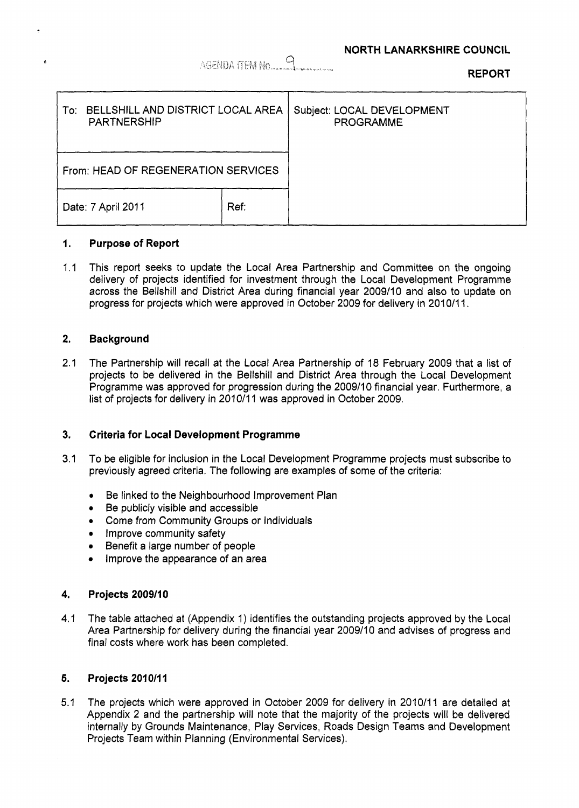## AGENDA ITEM No.

**REPORT** 

| BELLSHILL AND DISTRICT LOCAL AREA<br>To:<br><b>PARTNERSHIP</b> |      | Subject: LOCAL DEVELOPMENT<br><b>PROGRAMME</b> |
|----------------------------------------------------------------|------|------------------------------------------------|
| From: HEAD OF REGENERATION SERVICES                            |      |                                                |
| Date: 7 April 2011                                             | Ref: |                                                |

#### **I. Purpose of Report**

1.1 This report seeks to update the Local Area Partnership and Committee on the ongoing delivery of projects identified for investment through the Local Development Programme across the Bellshill and District Area during financial year 2009110 and also to update on progress for projects which were approved in October 2009 for delivery in 2010/11.

## **2. Background**

2.1 The Partnership will recall at the Local Area Partnership of 18 February 2009 that a list of projects to be delivered in the Bellshill and District Area through the Local Development Programme was approved for progression during the 2009/10 financial year. Furthermore, a list of projects for delivery in 2010/11 was approved in October 2009.

## **3. Criteria for Local Development Programme**

- 3.1 To be eligible for inclusion in the Local Development Programme projects must subscribe to previously agreed criteria. The following are examples of some of the criteria:
	- *0* Be linked to the Neighbourhood Improvement Plan
	- *0* Be publicly visible and accessible
	- *0* Come from Community Groups or Individuals
	- **•** Improve community safety
	- Benefit a large number of people  $\bullet$
	- Improve the appearance of an area

#### **4. Projects 2009/10**

4.1 The table attached at (Appendix I) identifies the outstanding projects approved by the Local Area Partnership for delivery during the financial year 200911 0 and advises **of** progress and final costs where work has been completed.

#### **5. Projects 201 0/1 I**

5.1 The projects which were approved in October 2009 for delivery in 2010/11 are detailed at Appendix 2 and the partnership will note that the majority of the projects will be delivered internally by Grounds Maintenance, Play Services, Roads Design Teams and Development Projects Team within Planning (Environmental Services).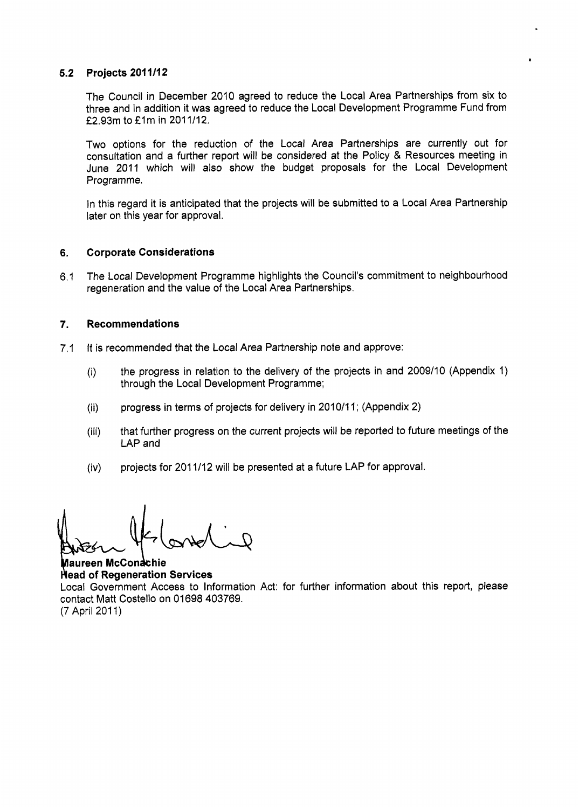## **5.2 Projects 201 1/12**

The Council in December 2010 agreed to reduce the Local Area Partnerships from six to three and in addition it was agreed to reduce the Local Development Programme Fund from £2.93m to £1m in 2011/12.

Two options for the reduction of the Local Area Partnerships are currently out for consultation and a further report will be considered at the Policy & Resources meeting in June 2011 which will also show the budget proposals for the Local Development Programme.

In this regard it is anticipated that the projects will be submitted to a Local Area Partnership later on this year for approval.

## **6. Corporate Considerations**

6.1 The Local Development Programme highlights the Council's commitment to neighbourhood regeneration and the value of the Local Area Partnerships.

## **7. Recommendations**

- 7.1 It is recommended that the Local Area Partnership note and approve:
	- (i) the progress in relation to the delivery of the projects in and 2009110 (Appendix 1) through the Local Development Programme;
	- (ii) progress in terms of projects for delivery in 2010/11; (Appendix 2)
	- (iii) that further progress on the current projects will be reported to future meetings of the LAP and
	- (iv) projects for 201 1/12 will be presented at a future LAP for approval.

**Maureen McConachie of Regeneration Services**  Local Government Access to Information Act: for further information about this report, please contact Matt Costello on 01698 403769. (7 April 201 1)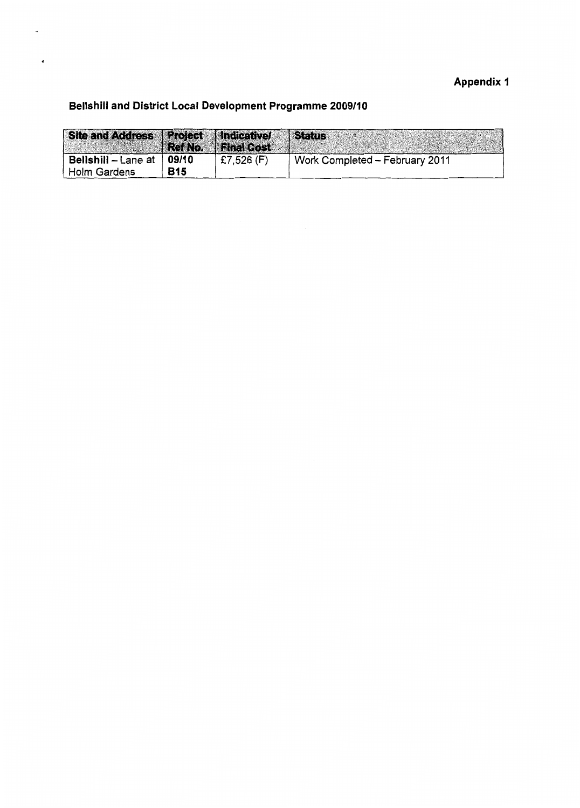# **Appendix 1**

# **Bellshill and District Local Development Programme 2009/10**

"

| Site and Address Project   Indicative/ |                     | Ref No.   Final Cost | <i><b>Status</b></i>           |
|----------------------------------------|---------------------|----------------------|--------------------------------|
| Bellshill - Lane at<br>Holm Gardens    | 09/10<br><b>B15</b> | £7,526 $(F)$         | Work Completed - February 2011 |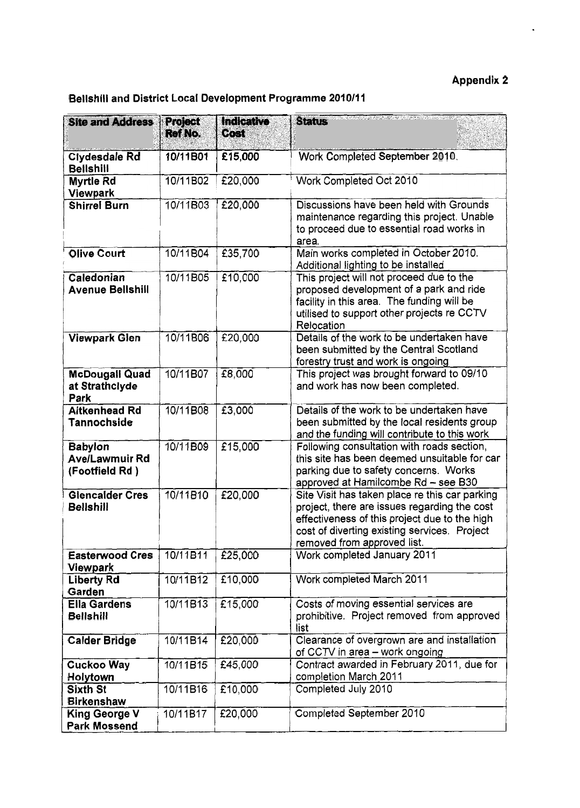# **Appendix 2**

 $\hat{\mathbf{z}}$ 

| Bellshill and District Local Development Programme 2010/11 |                    |                    |                                                                                                                                                                                                                                |  |
|------------------------------------------------------------|--------------------|--------------------|--------------------------------------------------------------------------------------------------------------------------------------------------------------------------------------------------------------------------------|--|
| <b>Site and Address</b>                                    | Project<br>Ref No. | Indicative<br>Cost | <b>Status</b>                                                                                                                                                                                                                  |  |
| <b>Clydesdale Rd</b><br><b>Bellshill</b>                   | 10/11B01           | £15,000            | Work Completed September 2010.                                                                                                                                                                                                 |  |
| <b>Myrtle Rd</b><br><b>Viewpark</b>                        | 10/11B02           | £20,000            | Work Completed Oct 2010                                                                                                                                                                                                        |  |
| <b>Shirrel Burn</b>                                        | 10/11B03           | £20,000            | Discussions have been held with Grounds<br>maintenance regarding this project. Unable<br>to proceed due to essential road works in<br>area.                                                                                    |  |
| <b>Olive Court</b>                                         | 10/11B04           | £35,700            | Main works completed in October 2010.<br>Additional lighting to be installed                                                                                                                                                   |  |
| Caledonian<br><b>Avenue Bellshill</b>                      | 10/11B05           | £10,000            | This project will not proceed due to the<br>proposed development of a park and ride<br>facility in this area. The funding will be<br>utilised to support other projects re CCTV<br>Relocation                                  |  |
| <b>Viewpark Glen</b>                                       | 10/11B06           | £20,000            | Details of the work to be undertaken have<br>been submitted by the Central Scotland<br>forestry trust and work is ongoing                                                                                                      |  |
| <b>McDougall Quad</b><br>at Strathclyde<br>Park            | 10/11B07           | £8,000             | This project was brought forward to 09/10<br>and work has now been completed.                                                                                                                                                  |  |
| <b>Aitkenhead Rd</b><br>Tannochside                        | 10/11B08           | £3,000             | Details of the work to be undertaken have<br>been submitted by the local residents group<br>and the funding will contribute to this work                                                                                       |  |
| <b>Babylon</b><br><b>Ave/Lawmuir Rd</b><br>(Footfield Rd)  | 10/11B09           | £15,000            | Following consultation with roads section,<br>this site has been deemed unsuitable for car<br>parking due to safety concerns. Works<br>approved at Hamilcombe Rd - see B30                                                     |  |
| <b>Glencalder Cres</b><br><b>Bellshill</b>                 | 10/11B10           | £20,000            | Site Visit has taken place re this car parking<br>project, there are issues regarding the cost<br>effectiveness of this project due to the high<br>cost of diverting existing services. Project<br>removed from approved list. |  |
| <b>Easterwood Cres</b><br>Viewpark                         | 10/11B11           | £25,000            | Work completed January 2011                                                                                                                                                                                                    |  |
| <b>Liberty Rd</b><br>Garden                                | 10/11B12           | £10,000            | Work completed March 2011                                                                                                                                                                                                      |  |
| <b>Ella Gardens</b><br><b>Bellshill</b>                    | 10/11B13           | £15,000            | Costs of moving essential services are<br>prohibitive. Project removed from approved<br>list                                                                                                                                   |  |
| <b>Calder Bridge</b>                                       | 10/11B14           | £20,000            | Clearance of overgrown are and installation<br>of CCTV in area - work ongoing                                                                                                                                                  |  |
| Cuckoo Way<br>Holytown                                     | 10/11B15           | £45,000            | Contract awarded in February 2011, due for<br>completion March 2011                                                                                                                                                            |  |
| <b>Sixth St</b><br><b>Birkenshaw</b>                       | 10/11B16           | £10,000            | Completed July 2010                                                                                                                                                                                                            |  |
| <b>King George V</b><br>Park Mossend                       | 10/11B17           | £20,000            | Completed September 2010                                                                                                                                                                                                       |  |